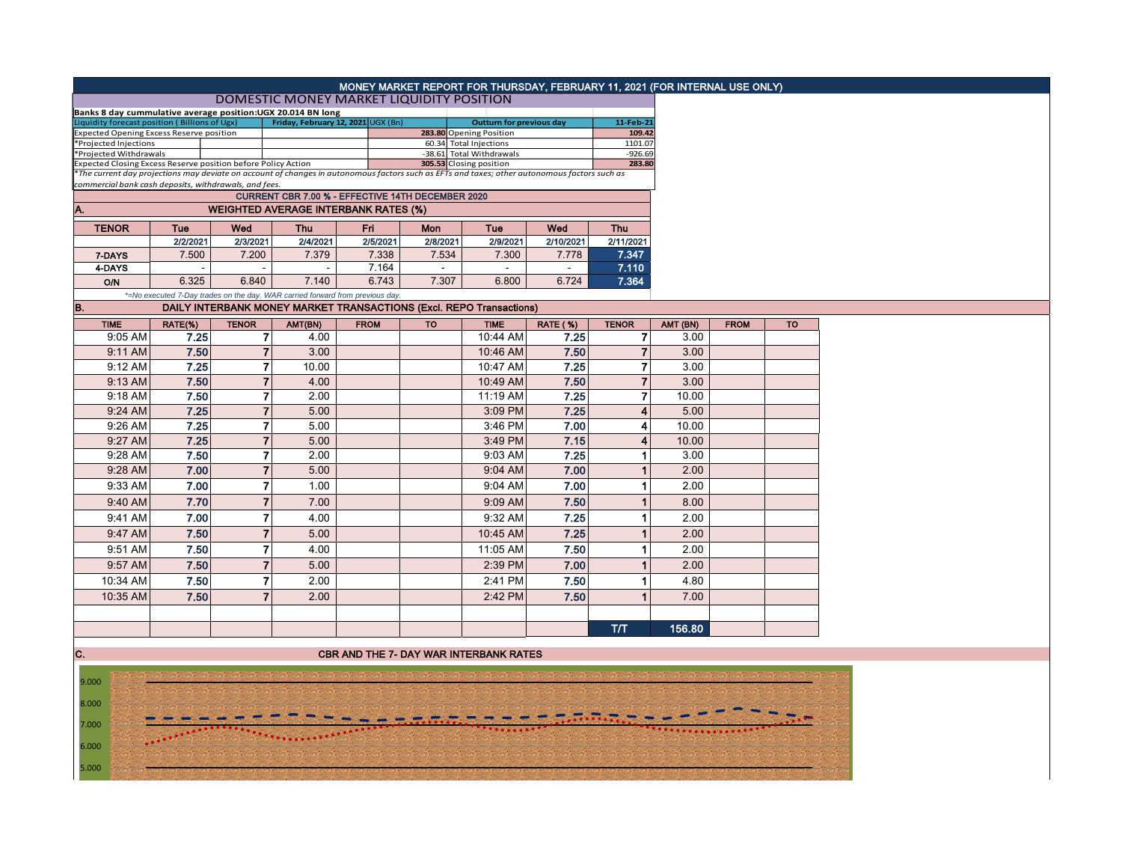|                                                                                     | MONEY MARKET REPORT FOR THURSDAY, FEBRUARY 11, 2021 (FOR INTERNAL USE ONLY)                                                                                                                            |                                                    |            |                                                                               |                                 |                                               |                          |                |          |             |           |  |  |  |
|-------------------------------------------------------------------------------------|--------------------------------------------------------------------------------------------------------------------------------------------------------------------------------------------------------|----------------------------------------------------|------------|-------------------------------------------------------------------------------|---------------------------------|-----------------------------------------------|--------------------------|----------------|----------|-------------|-----------|--|--|--|
|                                                                                     | DOMESTIC MONEY MARKET LIQUIDITY POSITION                                                                                                                                                               |                                                    |            |                                                                               |                                 |                                               |                          |                |          |             |           |  |  |  |
| Banks 8 day cummulative average position: UGX 20.014 BN long                        |                                                                                                                                                                                                        |                                                    |            |                                                                               |                                 |                                               |                          |                |          |             |           |  |  |  |
| Friday, February 12, 2021 UGX (Bn)<br>Liquidity forecast position (Billions of Ugx) |                                                                                                                                                                                                        |                                                    |            |                                                                               | <b>Outturn for previous day</b> |                                               |                          | 11-Feb-21      |          |             |           |  |  |  |
| <b>Expected Opening Excess Reserve position</b>                                     |                                                                                                                                                                                                        |                                                    |            |                                                                               |                                 | 283.80 Opening Position                       |                          | 109.42         |          |             |           |  |  |  |
| *Projected Injections                                                               |                                                                                                                                                                                                        |                                                    |            |                                                                               |                                 | 60.34 Total Injections                        |                          | 1101.07        |          |             |           |  |  |  |
|                                                                                     | *Projected Withdrawals                                                                                                                                                                                 |                                                    |            |                                                                               |                                 | -38.61 Total Withdrawals                      |                          | $-926.69$      |          |             |           |  |  |  |
| Expected Closing Excess Reserve position before Policy Action                       |                                                                                                                                                                                                        |                                                    |            |                                                                               |                                 | 305.53 Closing position                       |                          | 283.80         |          |             |           |  |  |  |
|                                                                                     | *The current day projections may deviate on account of changes in autonomous factors such as EFTs and taxes; other autonomous factors such as<br>commercial bank cash deposits, withdrawals, and fees. |                                                    |            |                                                                               |                                 |                                               |                          |                |          |             |           |  |  |  |
|                                                                                     | CURRENT CBR 7.00 % - EFFECTIVE 14TH DECEMBER 2020                                                                                                                                                      |                                                    |            |                                                                               |                                 |                                               |                          |                |          |             |           |  |  |  |
| A.                                                                                  |                                                                                                                                                                                                        |                                                    |            |                                                                               |                                 |                                               |                          |                |          |             |           |  |  |  |
| <b>TENOR</b>                                                                        | <b>Tue</b>                                                                                                                                                                                             | <b>WEIGHTED AVERAGE INTERBANK RATES (%)</b><br>Wed | <b>Thu</b> | <b>Tue</b>                                                                    | Wed                             | <b>Thu</b>                                    |                          |                |          |             |           |  |  |  |
|                                                                                     |                                                                                                                                                                                                        |                                                    | 2/4/2021   | Fri,                                                                          | <b>Mon</b><br>2/8/2021          | 2/9/2021                                      | 2/10/2021                |                |          |             |           |  |  |  |
|                                                                                     | 2/2/2021                                                                                                                                                                                               | 2/3/2021                                           |            | 2/5/2021                                                                      |                                 |                                               |                          | 2/11/2021      |          |             |           |  |  |  |
| 7-DAYS                                                                              | 7.500                                                                                                                                                                                                  | 7.200                                              | 7.379      | 7.338                                                                         | 7.534                           | 7.300                                         | 7.778                    | 7.347          |          |             |           |  |  |  |
| 4-DAYS                                                                              |                                                                                                                                                                                                        |                                                    |            | 7.164                                                                         |                                 | $\sim$                                        | $\overline{\phantom{a}}$ | 7.110          |          |             |           |  |  |  |
| O/N                                                                                 | 6.325                                                                                                                                                                                                  | 6.840                                              | 7.140      | 6.743                                                                         | 7.307                           | 6.800                                         | 6.724                    | 7.364          |          |             |           |  |  |  |
|                                                                                     |                                                                                                                                                                                                        |                                                    |            | *=No executed 7-Day trades on the day. WAR carried forward from previous day. |                                 |                                               |                          |                |          |             |           |  |  |  |
| <b>B.</b><br>DAILY INTERBANK MONEY MARKET TRANSACTIONS (Excl. REPO Transactions)    |                                                                                                                                                                                                        |                                                    |            |                                                                               |                                 |                                               |                          |                |          |             |           |  |  |  |
| <b>TIME</b>                                                                         | RATE(%)                                                                                                                                                                                                | <b>TENOR</b>                                       | AMT(BN)    | <b>FROM</b>                                                                   | <b>TO</b>                       | <b>TIME</b>                                   | <b>RATE (%)</b>          | <b>TENOR</b>   | AMT (BN) | <b>FROM</b> | <b>TO</b> |  |  |  |
| 9:05 AM                                                                             | 7.25                                                                                                                                                                                                   | 7                                                  | 4.00       |                                                                               |                                 | 10:44 AM                                      | 7.25                     | $\overline{7}$ | 3.00     |             |           |  |  |  |
| 9:11 AM                                                                             | 7.50                                                                                                                                                                                                   | $\overline{7}$                                     | 3.00       |                                                                               |                                 | 10:46 AM                                      | 7.50                     | $\overline{7}$ | 3.00     |             |           |  |  |  |
| $9:12$ AM                                                                           | 7.25                                                                                                                                                                                                   | $\overline{7}$                                     | 10.00      |                                                                               |                                 | 10:47 AM                                      | 7.25                     | 7              | 3.00     |             |           |  |  |  |
| 9:13 AM                                                                             | 7.50                                                                                                                                                                                                   | $\overline{7}$                                     | 4.00       |                                                                               |                                 | 10:49 AM                                      | 7.50                     | $\overline{7}$ | 3.00     |             |           |  |  |  |
| 9:18 AM                                                                             | 7.50                                                                                                                                                                                                   | $\overline{7}$                                     | 2.00       |                                                                               |                                 | 11:19 AM                                      | 7.25                     | $\overline{7}$ | 10.00    |             |           |  |  |  |
| 9:24 AM                                                                             | 7.25                                                                                                                                                                                                   | $\overline{7}$                                     | 5.00       |                                                                               |                                 | 3:09 PM                                       | 7.25                     | 4              | 5.00     |             |           |  |  |  |
| 9:26 AM                                                                             | 7.25                                                                                                                                                                                                   | $\overline{7}$                                     | 5.00       |                                                                               |                                 | 3:46 PM                                       | 7.00                     | 4              | 10.00    |             |           |  |  |  |
| 9:27 AM                                                                             | 7.25                                                                                                                                                                                                   | $\overline{7}$                                     | 5.00       |                                                                               |                                 | 3:49 PM                                       | 7.15                     | 4              | 10.00    |             |           |  |  |  |
| 9:28 AM                                                                             | 7.50                                                                                                                                                                                                   | $\overline{7}$                                     | 2.00       |                                                                               |                                 | 9:03 AM                                       | 7.25                     | 1              | 3.00     |             |           |  |  |  |
| 9:28 AM                                                                             | 7.00                                                                                                                                                                                                   | $\overline{7}$                                     | 5.00       |                                                                               |                                 | 9:04 AM                                       | 7.00                     | 1              | 2.00     |             |           |  |  |  |
| 9:33 AM                                                                             | 7.00                                                                                                                                                                                                   | 7                                                  | 1.00       |                                                                               |                                 | 9:04 AM                                       | 7.00                     | 1              | 2.00     |             |           |  |  |  |
| 9:40 AM                                                                             | 7.70                                                                                                                                                                                                   | $\overline{7}$                                     | 7.00       |                                                                               |                                 | 9:09 AM                                       | 7.50                     |                | 8.00     |             |           |  |  |  |
| 9:41 AM                                                                             | 7.00                                                                                                                                                                                                   | $\overline{7}$                                     | 4.00       |                                                                               |                                 | 9:32 AM                                       | 7.25                     | 1              | 2.00     |             |           |  |  |  |
| 9:47 AM                                                                             | 7.50                                                                                                                                                                                                   | $\overline{7}$                                     | 5.00       |                                                                               |                                 | 10:45 AM                                      | 7.25                     | $\mathbf{1}$   | 2.00     |             |           |  |  |  |
| 9:51 AM                                                                             | 7.50                                                                                                                                                                                                   | 7                                                  | 4.00       |                                                                               |                                 | 11:05 AM                                      | 7.50                     | 1              | 2.00     |             |           |  |  |  |
| 9:57 AM                                                                             | 7.50                                                                                                                                                                                                   | $\overline{7}$                                     | 5.00       |                                                                               |                                 | 2:39 PM                                       | 7.00                     | 1              | 2.00     |             |           |  |  |  |
| 10:34 AM                                                                            | 7.50                                                                                                                                                                                                   | 7                                                  | 2.00       |                                                                               |                                 | 2:41 PM                                       | 7.50                     | 1              | 4.80     |             |           |  |  |  |
| 10:35 AM                                                                            | 7.50                                                                                                                                                                                                   | $\overline{7}$                                     | 2.00       |                                                                               |                                 | 2:42 PM                                       | 7.50                     | $\mathbf{1}$   | 7.00     |             |           |  |  |  |
|                                                                                     |                                                                                                                                                                                                        |                                                    |            |                                                                               |                                 |                                               |                          |                |          |             |           |  |  |  |
|                                                                                     |                                                                                                                                                                                                        |                                                    |            |                                                                               |                                 |                                               |                          | T/T            | 156.80   |             |           |  |  |  |
|                                                                                     |                                                                                                                                                                                                        |                                                    |            |                                                                               |                                 |                                               |                          |                |          |             |           |  |  |  |
| IC.                                                                                 |                                                                                                                                                                                                        |                                                    |            |                                                                               |                                 | <b>CBR AND THE 7- DAY WAR INTERBANK RATES</b> |                          |                |          |             |           |  |  |  |

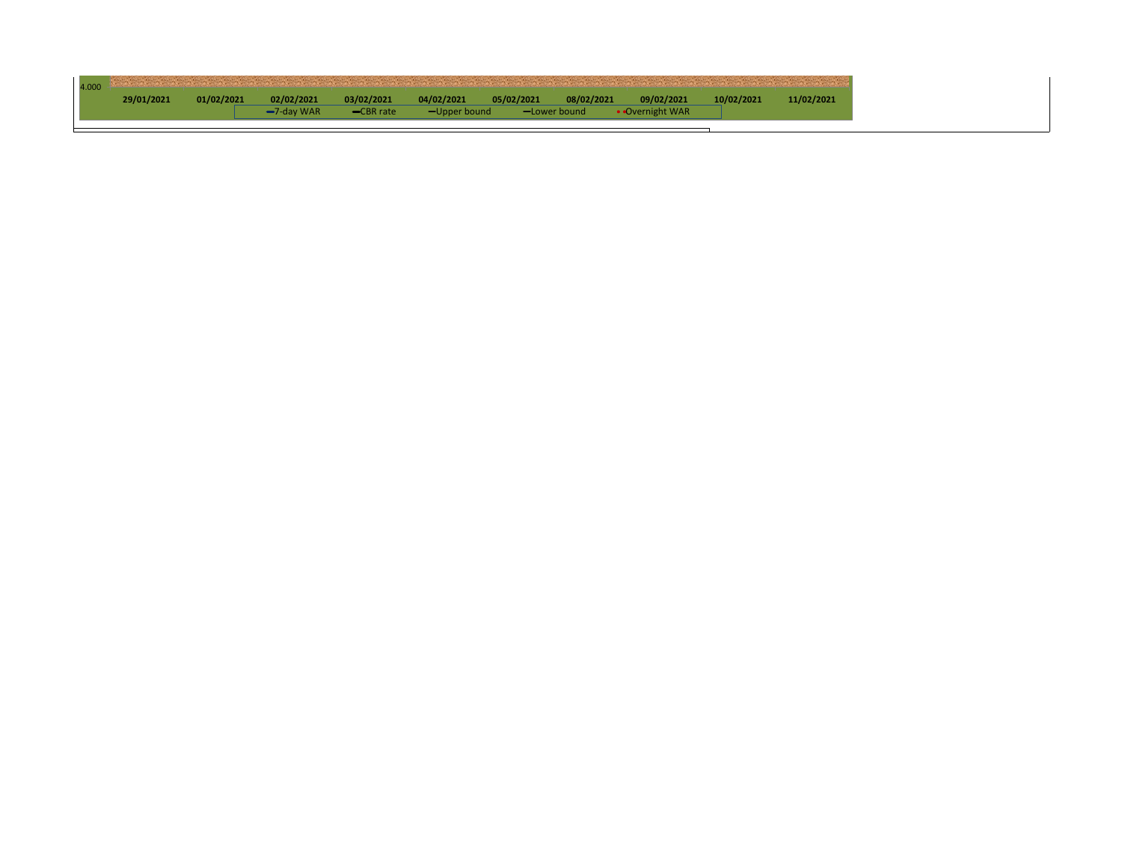| 4.000      |  |            |               |             |              |            |              | and the state of the state of the state of the state of the state of the state of the state of the state of the |            |            |
|------------|--|------------|---------------|-------------|--------------|------------|--------------|-----------------------------------------------------------------------------------------------------------------|------------|------------|
| 29/01/2021 |  | 01/02/2021 | 02/02/2021    | 03/02/2021  | 04/02/2021   | 05/02/2021 | 08/02/2021   | 09/02/2021                                                                                                      | 10/02/2021 | 11/02/2021 |
|            |  |            | $-7$ -day WAR | $-CBR$ rate | -Upper bound |            | -Lower bound | • Overnight WAR                                                                                                 |            |            |